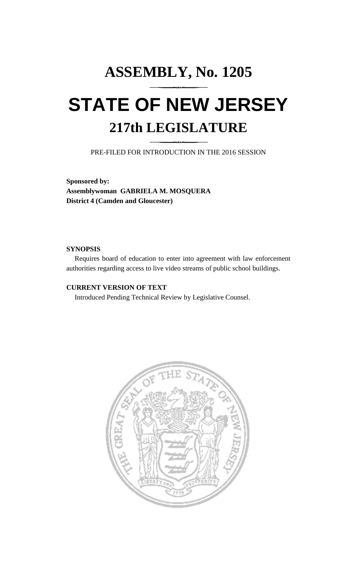# **ASSEMBLY, No. 1205 STATE OF NEW JERSEY 217th LEGISLATURE**

PRE-FILED FOR INTRODUCTION IN THE 2016 SESSION

**Sponsored by: Assemblywoman GABRIELA M. MOSQUERA District 4 (Camden and Gloucester)**

#### **SYNOPSIS**

Requires board of education to enter into agreement with law enforcement authorities regarding access to live video streams of public school buildings.

### **CURRENT VERSION OF TEXT**

Introduced Pending Technical Review by Legislative Counsel.

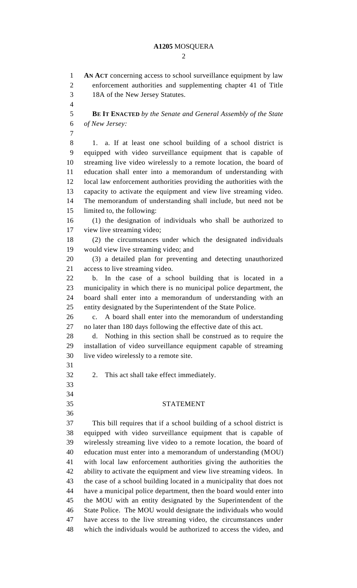#### **A1205** MOSQUERA

 $\mathcal{L}$ 

 **AN ACT** concerning access to school surveillance equipment by law enforcement authorities and supplementing chapter 41 of Title 18A of the New Jersey Statutes. **BE IT ENACTED** *by the Senate and General Assembly of the State of New Jersey:* 1. a. If at least one school building of a school district is equipped with video surveillance equipment that is capable of streaming live video wirelessly to a remote location, the board of education shall enter into a memorandum of understanding with local law enforcement authorities providing the authorities with the capacity to activate the equipment and view live streaming video. The memorandum of understanding shall include, but need not be limited to, the following: (1) the designation of individuals who shall be authorized to view live streaming video; (2) the circumstances under which the designated individuals would view live streaming video; and (3) a detailed plan for preventing and detecting unauthorized access to live streaming video. b. In the case of a school building that is located in a municipality in which there is no municipal police department, the board shall enter into a memorandum of understanding with an entity designated by the Superintendent of the State Police. c. A board shall enter into the memorandum of understanding no later than 180 days following the effective date of this act. d. Nothing in this section shall be construed as to require the installation of video surveillance equipment capable of streaming live video wirelessly to a remote site. 2. This act shall take effect immediately. STATEMENT This bill requires that if a school building of a school district is equipped with video surveillance equipment that is capable of wirelessly streaming live video to a remote location, the board of education must enter into a memorandum of understanding (MOU) with local law enforcement authorities giving the authorities the ability to activate the equipment and view live streaming videos. In the case of a school building located in a municipality that does not have a municipal police department, then the board would enter into the MOU with an entity designated by the Superintendent of the State Police. The MOU would designate the individuals who would have access to the live streaming video, the circumstances under which the individuals would be authorized to access the video, and